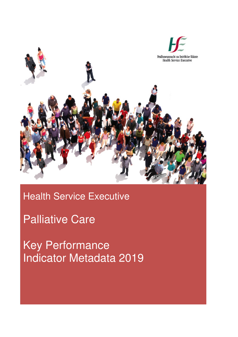

## Health Service Executive

## Palliative Care

Key Performance Indicator Metadata 2019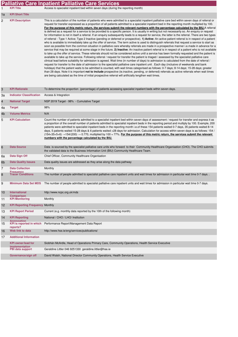|                |                                                           | <b>Palliative Care Inpatient Palliative Care Services</b>                                                                                                                                                                                                                                                                                                                                                                                                                                                                                                                                                                                                                                                                                                                                                                                                                                                                                                                                                                                                                                                                                                                                                                                                                                                                                                                                                                                                                                                                                                                                                                                                                                                                                                                                                                                                                                                                                                                                                                                                                                                                                                                                                                                                                                                                                                                                      |
|----------------|-----------------------------------------------------------|------------------------------------------------------------------------------------------------------------------------------------------------------------------------------------------------------------------------------------------------------------------------------------------------------------------------------------------------------------------------------------------------------------------------------------------------------------------------------------------------------------------------------------------------------------------------------------------------------------------------------------------------------------------------------------------------------------------------------------------------------------------------------------------------------------------------------------------------------------------------------------------------------------------------------------------------------------------------------------------------------------------------------------------------------------------------------------------------------------------------------------------------------------------------------------------------------------------------------------------------------------------------------------------------------------------------------------------------------------------------------------------------------------------------------------------------------------------------------------------------------------------------------------------------------------------------------------------------------------------------------------------------------------------------------------------------------------------------------------------------------------------------------------------------------------------------------------------------------------------------------------------------------------------------------------------------------------------------------------------------------------------------------------------------------------------------------------------------------------------------------------------------------------------------------------------------------------------------------------------------------------------------------------------------------------------------------------------------------------------------------------------------|
|                | <b>KPI Title</b>                                          | Access to specialist inpatient bed within seven days (during the reporting month)                                                                                                                                                                                                                                                                                                                                                                                                                                                                                                                                                                                                                                                                                                                                                                                                                                                                                                                                                                                                                                                                                                                                                                                                                                                                                                                                                                                                                                                                                                                                                                                                                                                                                                                                                                                                                                                                                                                                                                                                                                                                                                                                                                                                                                                                                                              |
| 1a             | <b>KPI Short Title</b>                                    |                                                                                                                                                                                                                                                                                                                                                                                                                                                                                                                                                                                                                                                                                                                                                                                                                                                                                                                                                                                                                                                                                                                                                                                                                                                                                                                                                                                                                                                                                                                                                                                                                                                                                                                                                                                                                                                                                                                                                                                                                                                                                                                                                                                                                                                                                                                                                                                                |
| $\overline{c}$ | <b>KPI Description</b>                                    | This is a calculation of the number of patients who were admitted to a specialist inpatient palliative care bed within seven days of referral or<br>request for transfer expressed as a proportion of all patients admitted to a specialist inpatient bed in the reporting month multiplied by 100.<br>For the purpose of this metric return, the services submit the relevant numbers with the percentage calculated by the BIU.A referral<br>is defined as a request for a service to be provided to a specific person. It is usually in writing but not necessarily so. An enquiry or request<br>for information is not in itself a referral. If an enquiry subsequently leads to a request for service, the latter is the referral. There are two types<br>of referral - Type 1 Active; Type 2 Inactive (pending or deferred or prospective). 1) Active: An active patient referral is in respect of a patient<br>who is available to immediately take up the offer of service. The term active is used to distinguish referrals that request a service to start as<br>soon as possible from the common situation in palliative care whereby referrals are made in a prospective manner i.e.made in advance for a<br>service that may be required at some stage in the future. 2) Inactive: An inactive patient referral is in respect of a patient who is not available<br>to take up the offer of service. These referrals should not be considered active until a service has been formally requested and the patient is<br>available to take up the service. Following referral / request for transfer the patient is triaged / assessed by the specialist palliative care<br>clinical lead before suitability for admission is agreed. Wait time (in number of days) to admission is calculated from the date of referral /<br>request for transfer to the date of admission to the specialist palliative care inpatient unit. Each day (inclusive of weekends and bank<br>holidays) that the patient waits to be admitted is counted, with wait times categorised as follows: 0-7 days; 8-14 days; 15-28 days; greater<br>than 28 days. Note it is important not to include prospective (ie.inactive, pending, or deferred) referrals as active referrals when wait times<br>are being calculated as the time of initial prospective referral will artificially lengthen wait times. |
| 3              | <b>KPI Rationale</b>                                      | To determine the proportion (percentage) of patients accessing specialist inpatient beds within seven days.                                                                                                                                                                                                                                                                                                                                                                                                                                                                                                                                                                                                                                                                                                                                                                                                                                                                                                                                                                                                                                                                                                                                                                                                                                                                                                                                                                                                                                                                                                                                                                                                                                                                                                                                                                                                                                                                                                                                                                                                                                                                                                                                                                                                                                                                                    |
| За             | <b>Indicator Classification</b>                           | Access & Integration                                                                                                                                                                                                                                                                                                                                                                                                                                                                                                                                                                                                                                                                                                                                                                                                                                                                                                                                                                                                                                                                                                                                                                                                                                                                                                                                                                                                                                                                                                                                                                                                                                                                                                                                                                                                                                                                                                                                                                                                                                                                                                                                                                                                                                                                                                                                                                           |
| 4              | <b>National Target</b>                                    | NSP 2019 Target - 98% - Cumulative Target                                                                                                                                                                                                                                                                                                                                                                                                                                                                                                                                                                                                                                                                                                                                                                                                                                                                                                                                                                                                                                                                                                                                                                                                                                                                                                                                                                                                                                                                                                                                                                                                                                                                                                                                                                                                                                                                                                                                                                                                                                                                                                                                                                                                                                                                                                                                                      |
| 4a             | <b>Target</b>                                             | 98%                                                                                                                                                                                                                                                                                                                                                                                                                                                                                                                                                                                                                                                                                                                                                                                                                                                                                                                                                                                                                                                                                                                                                                                                                                                                                                                                                                                                                                                                                                                                                                                                                                                                                                                                                                                                                                                                                                                                                                                                                                                                                                                                                                                                                                                                                                                                                                                            |
| 4 <sub>b</sub> | <b>Volume Metrics</b>                                     | N/A                                                                                                                                                                                                                                                                                                                                                                                                                                                                                                                                                                                                                                                                                                                                                                                                                                                                                                                                                                                                                                                                                                                                                                                                                                                                                                                                                                                                                                                                                                                                                                                                                                                                                                                                                                                                                                                                                                                                                                                                                                                                                                                                                                                                                                                                                                                                                                                            |
| 5              | <b>KPI Calculation</b>                                    | Count the number of patients admitted to a specialist inpatient bed within seven days of assessment / request for transfer and express it as<br>a proportion of the overall number of patients admitted to specialist inpatient beds in the reporting period and multiply by 100. Example, 200<br>patients were admitted to specialist inpatient beds in the reporting month i.e.of these 154 patients waited 0-7 days, 35 patients waited 8-14<br>days, 5 patients waited 15-28 days & 6 patients waited >28 days for admission. Calculation for access within seven days is as follows: 154 /<br>$(154+35+5+6) \rightarrow 154/(200) \rightarrow 0.770$ , multiplied by 100 = 77%. For the purpose of this metric return, the services submit the relevant<br>numbers with the percentage calculated by the BIU.                                                                                                                                                                                                                                                                                                                                                                                                                                                                                                                                                                                                                                                                                                                                                                                                                                                                                                                                                                                                                                                                                                                                                                                                                                                                                                                                                                                                                                                                                                                                                                             |
| 6              | <b>Data Source</b>                                        | Data is sourced by the specialist palliative care units who forward to their Community Healthcare Organisation (CHO). The CHO submits<br>the validated data to the Business Information Unit (BIU) Community Healthcare Team.                                                                                                                                                                                                                                                                                                                                                                                                                                                                                                                                                                                                                                                                                                                                                                                                                                                                                                                                                                                                                                                                                                                                                                                                                                                                                                                                                                                                                                                                                                                                                                                                                                                                                                                                                                                                                                                                                                                                                                                                                                                                                                                                                                  |
| 6a             | Data Sign Off                                             | Chief Officer, Community Healthcare Organisation                                                                                                                                                                                                                                                                                                                                                                                                                                                                                                                                                                                                                                                                                                                                                                                                                                                                                                                                                                                                                                                                                                                                                                                                                                                                                                                                                                                                                                                                                                                                                                                                                                                                                                                                                                                                                                                                                                                                                                                                                                                                                                                                                                                                                                                                                                                                               |
| 6 <sub>b</sub> | <b>Data Quality Issues</b>                                | Data quality issues are addressed as they arise along the data pathway                                                                                                                                                                                                                                                                                                                                                                                                                                                                                                                                                                                                                                                                                                                                                                                                                                                                                                                                                                                                                                                                                                                                                                                                                                                                                                                                                                                                                                                                                                                                                                                                                                                                                                                                                                                                                                                                                                                                                                                                                                                                                                                                                                                                                                                                                                                         |
| $\overline{7}$ | <b>Data Collection</b>                                    | Monthly                                                                                                                                                                                                                                                                                                                                                                                                                                                                                                                                                                                                                                                                                                                                                                                                                                                                                                                                                                                                                                                                                                                                                                                                                                                                                                                                                                                                                                                                                                                                                                                                                                                                                                                                                                                                                                                                                                                                                                                                                                                                                                                                                                                                                                                                                                                                                                                        |
| 8              | <b>Frequency</b><br><b>Tracer Conditions</b>              | The number of people admitted to specialist palliative care inpatient units and wait times for admission in particular wait time 0-7 days. .                                                                                                                                                                                                                                                                                                                                                                                                                                                                                                                                                                                                                                                                                                                                                                                                                                                                                                                                                                                                                                                                                                                                                                                                                                                                                                                                                                                                                                                                                                                                                                                                                                                                                                                                                                                                                                                                                                                                                                                                                                                                                                                                                                                                                                                   |
| 9              | <b>Minimum Data Set MDS</b>                               | The number of people admitted to specialist palliative care inpatient units and wait times for admission in particular wait time 0-7 days.                                                                                                                                                                                                                                                                                                                                                                                                                                                                                                                                                                                                                                                                                                                                                                                                                                                                                                                                                                                                                                                                                                                                                                                                                                                                                                                                                                                                                                                                                                                                                                                                                                                                                                                                                                                                                                                                                                                                                                                                                                                                                                                                                                                                                                                     |
| 10             | <b>International</b><br><b>Comparison</b>                 | http://www.ncpc.org.uk/mds                                                                                                                                                                                                                                                                                                                                                                                                                                                                                                                                                                                                                                                                                                                                                                                                                                                                                                                                                                                                                                                                                                                                                                                                                                                                                                                                                                                                                                                                                                                                                                                                                                                                                                                                                                                                                                                                                                                                                                                                                                                                                                                                                                                                                                                                                                                                                                     |
| 11             | <b>KPI Monitoring</b>                                     | Monthly                                                                                                                                                                                                                                                                                                                                                                                                                                                                                                                                                                                                                                                                                                                                                                                                                                                                                                                                                                                                                                                                                                                                                                                                                                                                                                                                                                                                                                                                                                                                                                                                                                                                                                                                                                                                                                                                                                                                                                                                                                                                                                                                                                                                                                                                                                                                                                                        |
| 12             | <b>KPI Reporting Frequency Monthly</b>                    |                                                                                                                                                                                                                                                                                                                                                                                                                                                                                                                                                                                                                                                                                                                                                                                                                                                                                                                                                                                                                                                                                                                                                                                                                                                                                                                                                                                                                                                                                                                                                                                                                                                                                                                                                                                                                                                                                                                                                                                                                                                                                                                                                                                                                                                                                                                                                                                                |
| 13             | <b>KPI Report Period</b>                                  | Current (e.g. monthly data reported by the 10th of the following month)                                                                                                                                                                                                                                                                                                                                                                                                                                                                                                                                                                                                                                                                                                                                                                                                                                                                                                                                                                                                                                                                                                                                                                                                                                                                                                                                                                                                                                                                                                                                                                                                                                                                                                                                                                                                                                                                                                                                                                                                                                                                                                                                                                                                                                                                                                                        |
| 14             | <b>KPI Reporting</b>                                      | National / CHO / LHO/ Institution                                                                                                                                                                                                                                                                                                                                                                                                                                                                                                                                                                                                                                                                                                                                                                                                                                                                                                                                                                                                                                                                                                                                                                                                                                                                                                                                                                                                                                                                                                                                                                                                                                                                                                                                                                                                                                                                                                                                                                                                                                                                                                                                                                                                                                                                                                                                                              |
| 15             | Annenation<br><b>KPI</b> is reported in which<br>reports? | Performance Report/Management Data Report                                                                                                                                                                                                                                                                                                                                                                                                                                                                                                                                                                                                                                                                                                                                                                                                                                                                                                                                                                                                                                                                                                                                                                                                                                                                                                                                                                                                                                                                                                                                                                                                                                                                                                                                                                                                                                                                                                                                                                                                                                                                                                                                                                                                                                                                                                                                                      |
| 16             | Web link to data                                          | http://www.hse.ie/eng/services/publications/                                                                                                                                                                                                                                                                                                                                                                                                                                                                                                                                                                                                                                                                                                                                                                                                                                                                                                                                                                                                                                                                                                                                                                                                                                                                                                                                                                                                                                                                                                                                                                                                                                                                                                                                                                                                                                                                                                                                                                                                                                                                                                                                                                                                                                                                                                                                                   |
| 17             | <b>Additional Information</b>                             |                                                                                                                                                                                                                                                                                                                                                                                                                                                                                                                                                                                                                                                                                                                                                                                                                                                                                                                                                                                                                                                                                                                                                                                                                                                                                                                                                                                                                                                                                                                                                                                                                                                                                                                                                                                                                                                                                                                                                                                                                                                                                                                                                                                                                                                                                                                                                                                                |
|                | <b>KPI</b> owner/lead for<br>implementation               | Siobhán McArdle, Head of Operations Primary Care, Community Operations, Health Service Executive                                                                                                                                                                                                                                                                                                                                                                                                                                                                                                                                                                                                                                                                                                                                                                                                                                                                                                                                                                                                                                                                                                                                                                                                                                                                                                                                                                                                                                                                                                                                                                                                                                                                                                                                                                                                                                                                                                                                                                                                                                                                                                                                                                                                                                                                                               |
|                | PBI data support                                          | Geraldine Littler 046 9251330 geraldine.littler@hse.ie                                                                                                                                                                                                                                                                                                                                                                                                                                                                                                                                                                                                                                                                                                                                                                                                                                                                                                                                                                                                                                                                                                                                                                                                                                                                                                                                                                                                                                                                                                                                                                                                                                                                                                                                                                                                                                                                                                                                                                                                                                                                                                                                                                                                                                                                                                                                         |
|                | Governance/sign off                                       | David Walsh, National Director Community Operations, Health Service Executive                                                                                                                                                                                                                                                                                                                                                                                                                                                                                                                                                                                                                                                                                                                                                                                                                                                                                                                                                                                                                                                                                                                                                                                                                                                                                                                                                                                                                                                                                                                                                                                                                                                                                                                                                                                                                                                                                                                                                                                                                                                                                                                                                                                                                                                                                                                  |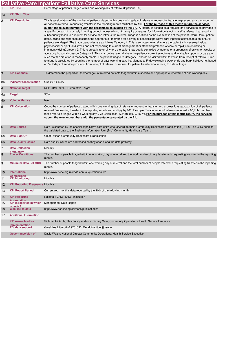|                |                                                | <b>Palliative Care Inpatient Palliative Care Services</b>                                                                                                                                                                                                                                                                                                                                                                                                                                                                                                                                                                                                                                                                                                                                                                                                                                                                                                                                                                                                                                                                                                                                                                                                                                                                                                                                                                                                                                                                                                                                                                                                                                                                                                                                                                                                                                                                         |
|----------------|------------------------------------------------|-----------------------------------------------------------------------------------------------------------------------------------------------------------------------------------------------------------------------------------------------------------------------------------------------------------------------------------------------------------------------------------------------------------------------------------------------------------------------------------------------------------------------------------------------------------------------------------------------------------------------------------------------------------------------------------------------------------------------------------------------------------------------------------------------------------------------------------------------------------------------------------------------------------------------------------------------------------------------------------------------------------------------------------------------------------------------------------------------------------------------------------------------------------------------------------------------------------------------------------------------------------------------------------------------------------------------------------------------------------------------------------------------------------------------------------------------------------------------------------------------------------------------------------------------------------------------------------------------------------------------------------------------------------------------------------------------------------------------------------------------------------------------------------------------------------------------------------------------------------------------------------------------------------------------------------|
|                | <b>KPI Title</b>                               | Percentage of patients triaged within one working day of referral (Inpatient Unit)                                                                                                                                                                                                                                                                                                                                                                                                                                                                                                                                                                                                                                                                                                                                                                                                                                                                                                                                                                                                                                                                                                                                                                                                                                                                                                                                                                                                                                                                                                                                                                                                                                                                                                                                                                                                                                                |
| 1a             | <b>KPI Short Title</b>                         |                                                                                                                                                                                                                                                                                                                                                                                                                                                                                                                                                                                                                                                                                                                                                                                                                                                                                                                                                                                                                                                                                                                                                                                                                                                                                                                                                                                                                                                                                                                                                                                                                                                                                                                                                                                                                                                                                                                                   |
| $\overline{c}$ | <b>KPI Description</b>                         | This is a calculation of the number of patients triaged within one working day of referral or request for transfer expressed as a proportion of<br>all patients referred / requesting transfer in the reporting month multiplied by 100. For the purpose of this metric return, the services<br>submit the relevant numbers with the percentage calculated by the BIU. A referral is defined as a request for a service to be provided to<br>a specific person. It is usually in writing but not necessarily so. An enquiry or request for information is not in itself a referral. If an enquiry<br>subsequently leads to a request for service, the latter is the referral. Triage is defined as the examination of the patient referral form, patient<br>notes, scans and reports to ascertain the appropriate timeframe for delivery of specialist palliative care inpatient services to a patient. All<br>patients are triaged. The triage categories are as follows:Category 1: This is an urgent referral where the patient is in severe physical,<br>psychosocial or spiritual distress and not responding to current management or standard protocols of care or rapidly deteriorating or<br>imminently dyingCategory 2: This is an early referral where the patient has poorly controlled symptoms or a prognosis of only short weeks or<br>acute psychosocial stressorsCategory 3: This is a routine referral where the patient's current symptoms and available supports or care are<br>such that the situation is reasonably stable. The patient triaged to Category 3 should be visited within 2 weeks from receipt of referral. Time<br>to triage is calculated by counting the number of days (working days i.e. Monday to Friday excluding week ends and bank holidays i.e. based<br>on 5/7 days of service provision) from receipt of referral, or request for patient transfer into service, to date of triage |
| 3              | <b>KPI Rationale</b>                           | To determine the proportion (percentage) of referred patients triaged within a specific and appropriate timeframe of one working day.                                                                                                                                                                                                                                                                                                                                                                                                                                                                                                                                                                                                                                                                                                                                                                                                                                                                                                                                                                                                                                                                                                                                                                                                                                                                                                                                                                                                                                                                                                                                                                                                                                                                                                                                                                                             |
| За             | <b>Indicator Classification</b>                | Quality & Safety                                                                                                                                                                                                                                                                                                                                                                                                                                                                                                                                                                                                                                                                                                                                                                                                                                                                                                                                                                                                                                                                                                                                                                                                                                                                                                                                                                                                                                                                                                                                                                                                                                                                                                                                                                                                                                                                                                                  |
| 4              | <b>National Target</b>                         | NSP 2019 - 90% - Cumulative Target                                                                                                                                                                                                                                                                                                                                                                                                                                                                                                                                                                                                                                                                                                                                                                                                                                                                                                                                                                                                                                                                                                                                                                                                                                                                                                                                                                                                                                                                                                                                                                                                                                                                                                                                                                                                                                                                                                |
| 4a             | <b>Target</b>                                  | 90%                                                                                                                                                                                                                                                                                                                                                                                                                                                                                                                                                                                                                                                                                                                                                                                                                                                                                                                                                                                                                                                                                                                                                                                                                                                                                                                                                                                                                                                                                                                                                                                                                                                                                                                                                                                                                                                                                                                               |
| 4 <sub>b</sub> | <b>Volume Metrics</b>                          | N/A                                                                                                                                                                                                                                                                                                                                                                                                                                                                                                                                                                                                                                                                                                                                                                                                                                                                                                                                                                                                                                                                                                                                                                                                                                                                                                                                                                                                                                                                                                                                                                                                                                                                                                                                                                                                                                                                                                                               |
| 5              | <b>KPI Calculation</b>                         | Count the number of patients triaged within one working day of referral or request for transfer and express it as a proportion of all patients<br>referred / requesting transfer in the reporting month and multiply by 100. Example: Total number of referrals received = 90, Total number of<br>these referrals triaged within 1 working day = 78 Calculation: $(78/90)$ x100 = 86.7% For the purpose of this metric return, the services<br>submit the relevant numbers with the percentage calculated by the BIU.                                                                                                                                                                                                                                                                                                                                                                                                                                                                                                                                                                                                                                                                                                                                                                                                                                                                                                                                                                                                                                                                                                                                                                                                                                                                                                                                                                                                             |
| 6              | <b>Data Source</b>                             | Data is sourced by the specialist palliative care units who forward to their Community Healthcare Organisation (CHO). The CHO submits<br>the validated data to the Business Information Unit (BIU) Community Healthcare Team.                                                                                                                                                                                                                                                                                                                                                                                                                                                                                                                                                                                                                                                                                                                                                                                                                                                                                                                                                                                                                                                                                                                                                                                                                                                                                                                                                                                                                                                                                                                                                                                                                                                                                                     |
| 6а             | Data Sign Off                                  | Chief Officer, Community Healthcare Organisation                                                                                                                                                                                                                                                                                                                                                                                                                                                                                                                                                                                                                                                                                                                                                                                                                                                                                                                                                                                                                                                                                                                                                                                                                                                                                                                                                                                                                                                                                                                                                                                                                                                                                                                                                                                                                                                                                  |
| 6b             | <b>Data Quality Issues</b>                     | Data quality issues are addressed as they arise along the data pathway.                                                                                                                                                                                                                                                                                                                                                                                                                                                                                                                                                                                                                                                                                                                                                                                                                                                                                                                                                                                                                                                                                                                                                                                                                                                                                                                                                                                                                                                                                                                                                                                                                                                                                                                                                                                                                                                           |
| 7              | <b>Data Collection</b>                         | Monthly                                                                                                                                                                                                                                                                                                                                                                                                                                                                                                                                                                                                                                                                                                                                                                                                                                                                                                                                                                                                                                                                                                                                                                                                                                                                                                                                                                                                                                                                                                                                                                                                                                                                                                                                                                                                                                                                                                                           |
| 8              | Frequency<br><b>Tracer Conditions</b>          | The number of people triaged within one working day of referral and the total number of people referred / requesting transfer in the reporting<br>month.                                                                                                                                                                                                                                                                                                                                                                                                                                                                                                                                                                                                                                                                                                                                                                                                                                                                                                                                                                                                                                                                                                                                                                                                                                                                                                                                                                                                                                                                                                                                                                                                                                                                                                                                                                          |
| 9              | <b>Minimum Data Set MDS</b>                    | The number of people triaged within one working day of referral and the total number of people referred / requesting transfer in the reporting<br>month.                                                                                                                                                                                                                                                                                                                                                                                                                                                                                                                                                                                                                                                                                                                                                                                                                                                                                                                                                                                                                                                                                                                                                                                                                                                                                                                                                                                                                                                                                                                                                                                                                                                                                                                                                                          |
| 10             | International<br>Comparison                    | http://www.ncpc.org.uk/mds-annual-questionnaires                                                                                                                                                                                                                                                                                                                                                                                                                                                                                                                                                                                                                                                                                                                                                                                                                                                                                                                                                                                                                                                                                                                                                                                                                                                                                                                                                                                                                                                                                                                                                                                                                                                                                                                                                                                                                                                                                  |
| 11             | <b>KPI Monitoring</b>                          | Monthly                                                                                                                                                                                                                                                                                                                                                                                                                                                                                                                                                                                                                                                                                                                                                                                                                                                                                                                                                                                                                                                                                                                                                                                                                                                                                                                                                                                                                                                                                                                                                                                                                                                                                                                                                                                                                                                                                                                           |
| 12             | <b>KPI Reporting Frequency Monthly</b>         |                                                                                                                                                                                                                                                                                                                                                                                                                                                                                                                                                                                                                                                                                                                                                                                                                                                                                                                                                                                                                                                                                                                                                                                                                                                                                                                                                                                                                                                                                                                                                                                                                                                                                                                                                                                                                                                                                                                                   |
| 13             | <b>KPI Report Period</b>                       | Current (eg. monthly data reported by the 10th of the following month)                                                                                                                                                                                                                                                                                                                                                                                                                                                                                                                                                                                                                                                                                                                                                                                                                                                                                                                                                                                                                                                                                                                                                                                                                                                                                                                                                                                                                                                                                                                                                                                                                                                                                                                                                                                                                                                            |
| 14             | <b>KPI Reporting</b>                           | National / CHO / LHO / Institution                                                                                                                                                                                                                                                                                                                                                                                                                                                                                                                                                                                                                                                                                                                                                                                                                                                                                                                                                                                                                                                                                                                                                                                                                                                                                                                                                                                                                                                                                                                                                                                                                                                                                                                                                                                                                                                                                                |
| 15             | Andreastion<br><b>KPI</b> is reported in which | Management Data Report                                                                                                                                                                                                                                                                                                                                                                                                                                                                                                                                                                                                                                                                                                                                                                                                                                                                                                                                                                                                                                                                                                                                                                                                                                                                                                                                                                                                                                                                                                                                                                                                                                                                                                                                                                                                                                                                                                            |
| 16             | renorts?<br>Web link to data                   | http://www.hse.ie/eng/services/publications/                                                                                                                                                                                                                                                                                                                                                                                                                                                                                                                                                                                                                                                                                                                                                                                                                                                                                                                                                                                                                                                                                                                                                                                                                                                                                                                                                                                                                                                                                                                                                                                                                                                                                                                                                                                                                                                                                      |
| 17             | <b>Additional Information</b>                  |                                                                                                                                                                                                                                                                                                                                                                                                                                                                                                                                                                                                                                                                                                                                                                                                                                                                                                                                                                                                                                                                                                                                                                                                                                                                                                                                                                                                                                                                                                                                                                                                                                                                                                                                                                                                                                                                                                                                   |
|                | <b>KPI owner/lead for</b>                      | Siobhán McArdle, Head of Operations Primary Care, Community Operations, Health Service Executive                                                                                                                                                                                                                                                                                                                                                                                                                                                                                                                                                                                                                                                                                                                                                                                                                                                                                                                                                                                                                                                                                                                                                                                                                                                                                                                                                                                                                                                                                                                                                                                                                                                                                                                                                                                                                                  |
|                | imnlementation<br>PBI data support             | Geraldine Littler, 046 9251330, Geraldine.littler@hse.ie                                                                                                                                                                                                                                                                                                                                                                                                                                                                                                                                                                                                                                                                                                                                                                                                                                                                                                                                                                                                                                                                                                                                                                                                                                                                                                                                                                                                                                                                                                                                                                                                                                                                                                                                                                                                                                                                          |
|                | Governance/sign off                            | David Walsh, National Director Community Operations, Health Service Executive                                                                                                                                                                                                                                                                                                                                                                                                                                                                                                                                                                                                                                                                                                                                                                                                                                                                                                                                                                                                                                                                                                                                                                                                                                                                                                                                                                                                                                                                                                                                                                                                                                                                                                                                                                                                                                                     |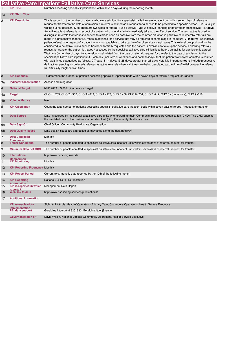|              |                                                | <b>Palliative Care Inpatient Palliative Care Services</b>                                                                                                                                                                                                                                                                                                                                                                                                                                                                                                                                                                                                                                                                                                                                                                                                                                                                                                                                                                                                                                                                                                                                                                                                                                                                                                                                                                                                                                                                                                                                                                                                                                                                                                                                                                                                                                                                                                                                                             |
|--------------|------------------------------------------------|-----------------------------------------------------------------------------------------------------------------------------------------------------------------------------------------------------------------------------------------------------------------------------------------------------------------------------------------------------------------------------------------------------------------------------------------------------------------------------------------------------------------------------------------------------------------------------------------------------------------------------------------------------------------------------------------------------------------------------------------------------------------------------------------------------------------------------------------------------------------------------------------------------------------------------------------------------------------------------------------------------------------------------------------------------------------------------------------------------------------------------------------------------------------------------------------------------------------------------------------------------------------------------------------------------------------------------------------------------------------------------------------------------------------------------------------------------------------------------------------------------------------------------------------------------------------------------------------------------------------------------------------------------------------------------------------------------------------------------------------------------------------------------------------------------------------------------------------------------------------------------------------------------------------------------------------------------------------------------------------------------------------------|
| $\mathbf{1}$ | <b>KPI Title</b>                               | Number accessing specialist inpatient bed within seven days (during the reporting month)                                                                                                                                                                                                                                                                                                                                                                                                                                                                                                                                                                                                                                                                                                                                                                                                                                                                                                                                                                                                                                                                                                                                                                                                                                                                                                                                                                                                                                                                                                                                                                                                                                                                                                                                                                                                                                                                                                                              |
| 1a           | <b>KPI Short Title</b>                         |                                                                                                                                                                                                                                                                                                                                                                                                                                                                                                                                                                                                                                                                                                                                                                                                                                                                                                                                                                                                                                                                                                                                                                                                                                                                                                                                                                                                                                                                                                                                                                                                                                                                                                                                                                                                                                                                                                                                                                                                                       |
| 2            | <b>KPI Description</b>                         | This is a count of the number of patients who were admitted to a specialist palliative care inpatient unit within seven days of referral or<br>request for transfer to the date of admission A referral is defined as a request for a service to be provided to a specific person. It is usually in<br>writing but not necessarily so. There are two types of referral: Type 1 Active; Type 2 Inactive (pending or deferred or prospective). 1) Active:<br>An active patient referral is in respect of a patient who is available to immediately take up the offer of service. The term active is used to<br>distinguish referrals that request a service to start as soon as possible from the common situation in palliative care whereby referrals are<br>made in a prospective manner i.e. made in advance for a service that may be required at some stage in the future. 2) Inactive: An inactive<br>patient referral is in respect of a patient who is not available to take up the offer of service straight away. This referral group should not be<br>considered to be active until a service has been formally requested and the patient is available to take up the service. Following referral /<br>request for transfer the patient is triaged / assessed by the specialist palliative care clinical lead before suitability for admission is agreed.<br>Wait time (in number of days) to admission is calculated from the date of referral / request for transfer to the date of admission to the<br>specialist palliative care inpatient unit. Each day (inclusive of weekends and bank holidays) that the patient waits to be admitted is counted,<br>with wait times categorised as follows: 0-7 days; 8-14 days; 15-28 days; greater than 28 days. Note it is important not to include prospective<br>(ie.inactive, pending, or deferred) referrals as active referrals when wait times are being calculated as the time of initial prospective referral<br>will artificially lengthen wait times. |
| 3            | <b>KPI Rationale</b>                           | To determine the number of patients accessing specialist inpatient beds within seven days of referral / request for transfer                                                                                                                                                                                                                                                                                                                                                                                                                                                                                                                                                                                                                                                                                                                                                                                                                                                                                                                                                                                                                                                                                                                                                                                                                                                                                                                                                                                                                                                                                                                                                                                                                                                                                                                                                                                                                                                                                          |
| За           | <b>Indicator Classification</b>                | Access and Integration                                                                                                                                                                                                                                                                                                                                                                                                                                                                                                                                                                                                                                                                                                                                                                                                                                                                                                                                                                                                                                                                                                                                                                                                                                                                                                                                                                                                                                                                                                                                                                                                                                                                                                                                                                                                                                                                                                                                                                                                |
| 4            | <b>National Target</b>                         | NSP 2019 - 3,809 - Cumulative Target                                                                                                                                                                                                                                                                                                                                                                                                                                                                                                                                                                                                                                                                                                                                                                                                                                                                                                                                                                                                                                                                                                                                                                                                                                                                                                                                                                                                                                                                                                                                                                                                                                                                                                                                                                                                                                                                                                                                                                                  |
| 4a           | <b>Target</b>                                  | CHO 1 - 263, CHO 2 - 352, CHO 3 - 619, CHO 4 - 973, CHO 5 - 68, CHO 6 -204, CHO 7 -712, CHO 8 - (no service), CHO 9 -618                                                                                                                                                                                                                                                                                                                                                                                                                                                                                                                                                                                                                                                                                                                                                                                                                                                                                                                                                                                                                                                                                                                                                                                                                                                                                                                                                                                                                                                                                                                                                                                                                                                                                                                                                                                                                                                                                              |
| 4b           | <b>Volume Metrics</b>                          | N/A                                                                                                                                                                                                                                                                                                                                                                                                                                                                                                                                                                                                                                                                                                                                                                                                                                                                                                                                                                                                                                                                                                                                                                                                                                                                                                                                                                                                                                                                                                                                                                                                                                                                                                                                                                                                                                                                                                                                                                                                                   |
| 5            | <b>KPI Calculation</b>                         | Count the total number of patients accessing specialist palliative care inpatient beds within seven days of referral / request for transfer.                                                                                                                                                                                                                                                                                                                                                                                                                                                                                                                                                                                                                                                                                                                                                                                                                                                                                                                                                                                                                                                                                                                                                                                                                                                                                                                                                                                                                                                                                                                                                                                                                                                                                                                                                                                                                                                                          |
| 6            | <b>Data Source</b>                             | Data is sourced by the specialist palliative care units who forward to their Community Healthcare Organisation (CHO). The CHO submits<br>the validated data to the Business Information Unit (BIU) Community Healthcare Team.                                                                                                                                                                                                                                                                                                                                                                                                                                                                                                                                                                                                                                                                                                                                                                                                                                                                                                                                                                                                                                                                                                                                                                                                                                                                                                                                                                                                                                                                                                                                                                                                                                                                                                                                                                                         |
| 6а           | Data Sign Off                                  | Chief Officer, Community Healthcare Organisation                                                                                                                                                                                                                                                                                                                                                                                                                                                                                                                                                                                                                                                                                                                                                                                                                                                                                                                                                                                                                                                                                                                                                                                                                                                                                                                                                                                                                                                                                                                                                                                                                                                                                                                                                                                                                                                                                                                                                                      |
| 6b           | <b>Data Quality Issues</b>                     | Data quality issues are addressed as they arise along the data pathway.                                                                                                                                                                                                                                                                                                                                                                                                                                                                                                                                                                                                                                                                                                                                                                                                                                                                                                                                                                                                                                                                                                                                                                                                                                                                                                                                                                                                                                                                                                                                                                                                                                                                                                                                                                                                                                                                                                                                               |
| 7            | <b>Data Collection</b><br><b>Frequency</b>     | Monthly                                                                                                                                                                                                                                                                                                                                                                                                                                                                                                                                                                                                                                                                                                                                                                                                                                                                                                                                                                                                                                                                                                                                                                                                                                                                                                                                                                                                                                                                                                                                                                                                                                                                                                                                                                                                                                                                                                                                                                                                               |
| 8            | <b>Tracer Conditions</b>                       | The number of people admitted to specialist palliative care inpatient units within seven days of referral / request for transfer.                                                                                                                                                                                                                                                                                                                                                                                                                                                                                                                                                                                                                                                                                                                                                                                                                                                                                                                                                                                                                                                                                                                                                                                                                                                                                                                                                                                                                                                                                                                                                                                                                                                                                                                                                                                                                                                                                     |
| 9            | <b>Minimum Data Set MDS</b>                    | The number of people admitted to specialist palliative care inpatient units within seven days of referral / request for transfer.                                                                                                                                                                                                                                                                                                                                                                                                                                                                                                                                                                                                                                                                                                                                                                                                                                                                                                                                                                                                                                                                                                                                                                                                                                                                                                                                                                                                                                                                                                                                                                                                                                                                                                                                                                                                                                                                                     |
| 10           | International<br>Comparison                    | http://www.ncpc.org.uk/mds                                                                                                                                                                                                                                                                                                                                                                                                                                                                                                                                                                                                                                                                                                                                                                                                                                                                                                                                                                                                                                                                                                                                                                                                                                                                                                                                                                                                                                                                                                                                                                                                                                                                                                                                                                                                                                                                                                                                                                                            |
| 11           | <b>KPI Monitoring</b>                          | Monthly                                                                                                                                                                                                                                                                                                                                                                                                                                                                                                                                                                                                                                                                                                                                                                                                                                                                                                                                                                                                                                                                                                                                                                                                                                                                                                                                                                                                                                                                                                                                                                                                                                                                                                                                                                                                                                                                                                                                                                                                               |
| 12           | <b>KPI Reporting Frequency Monthly</b>         |                                                                                                                                                                                                                                                                                                                                                                                                                                                                                                                                                                                                                                                                                                                                                                                                                                                                                                                                                                                                                                                                                                                                                                                                                                                                                                                                                                                                                                                                                                                                                                                                                                                                                                                                                                                                                                                                                                                                                                                                                       |
| 13           | <b>KPI Report Period</b>                       | Current (e.g. monthly data reported by the 10th of the following month)                                                                                                                                                                                                                                                                                                                                                                                                                                                                                                                                                                                                                                                                                                                                                                                                                                                                                                                                                                                                                                                                                                                                                                                                                                                                                                                                                                                                                                                                                                                                                                                                                                                                                                                                                                                                                                                                                                                                               |
| 14           | <b>KPI Reporting</b>                           | National / CHO / LHO / Institution                                                                                                                                                                                                                                                                                                                                                                                                                                                                                                                                                                                                                                                                                                                                                                                                                                                                                                                                                                                                                                                                                                                                                                                                                                                                                                                                                                                                                                                                                                                                                                                                                                                                                                                                                                                                                                                                                                                                                                                    |
| 15           | Annrenation<br><b>KPI</b> is reported in which | Management Data Report                                                                                                                                                                                                                                                                                                                                                                                                                                                                                                                                                                                                                                                                                                                                                                                                                                                                                                                                                                                                                                                                                                                                                                                                                                                                                                                                                                                                                                                                                                                                                                                                                                                                                                                                                                                                                                                                                                                                                                                                |
| 16           | renorts?<br>Web link to data                   | http://www.hse.ie/eng/services/publications/                                                                                                                                                                                                                                                                                                                                                                                                                                                                                                                                                                                                                                                                                                                                                                                                                                                                                                                                                                                                                                                                                                                                                                                                                                                                                                                                                                                                                                                                                                                                                                                                                                                                                                                                                                                                                                                                                                                                                                          |
| 17           | <b>Additional Information</b>                  |                                                                                                                                                                                                                                                                                                                                                                                                                                                                                                                                                                                                                                                                                                                                                                                                                                                                                                                                                                                                                                                                                                                                                                                                                                                                                                                                                                                                                                                                                                                                                                                                                                                                                                                                                                                                                                                                                                                                                                                                                       |
|              | <b>KPI owner/lead for</b>                      | Siobhán McArdle, Head of Operations Primary Care, Community Operations, Health Service Executive                                                                                                                                                                                                                                                                                                                                                                                                                                                                                                                                                                                                                                                                                                                                                                                                                                                                                                                                                                                                                                                                                                                                                                                                                                                                                                                                                                                                                                                                                                                                                                                                                                                                                                                                                                                                                                                                                                                      |
|              | imnlementation<br><b>PBI data support</b>      | Geraldine Littler, 046 9251330, Geraldine.littler@hse.ie                                                                                                                                                                                                                                                                                                                                                                                                                                                                                                                                                                                                                                                                                                                                                                                                                                                                                                                                                                                                                                                                                                                                                                                                                                                                                                                                                                                                                                                                                                                                                                                                                                                                                                                                                                                                                                                                                                                                                              |
|              | Governance/sign off                            | David Walsh, National Director Community Operations, Health Service Executive                                                                                                                                                                                                                                                                                                                                                                                                                                                                                                                                                                                                                                                                                                                                                                                                                                                                                                                                                                                                                                                                                                                                                                                                                                                                                                                                                                                                                                                                                                                                                                                                                                                                                                                                                                                                                                                                                                                                         |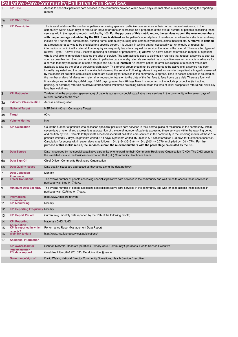|    | <b>Palliative Care Community Palliative Care Services</b> |                                                                                                                                                                                                                                                                                                                                                                                                                                                                                                                                                                                                                                                                                                                                                                                                                                                                                                                                                                                                                                                                                                                                                                                                                                                                                                                                                                                                                                                                                                                                                                                                                                                                                                                                                                                                                                                                                                                                                                                                                                                                                                                                                                                                                                                                                                                                                                                                                                                                                                                                                                                          |  |  |
|----|-----------------------------------------------------------|------------------------------------------------------------------------------------------------------------------------------------------------------------------------------------------------------------------------------------------------------------------------------------------------------------------------------------------------------------------------------------------------------------------------------------------------------------------------------------------------------------------------------------------------------------------------------------------------------------------------------------------------------------------------------------------------------------------------------------------------------------------------------------------------------------------------------------------------------------------------------------------------------------------------------------------------------------------------------------------------------------------------------------------------------------------------------------------------------------------------------------------------------------------------------------------------------------------------------------------------------------------------------------------------------------------------------------------------------------------------------------------------------------------------------------------------------------------------------------------------------------------------------------------------------------------------------------------------------------------------------------------------------------------------------------------------------------------------------------------------------------------------------------------------------------------------------------------------------------------------------------------------------------------------------------------------------------------------------------------------------------------------------------------------------------------------------------------------------------------------------------------------------------------------------------------------------------------------------------------------------------------------------------------------------------------------------------------------------------------------------------------------------------------------------------------------------------------------------------------------------------------------------------------------------------------------------------------|--|--|
|    | <b>KPI Title</b>                                          | Access to specialist palliative care services in the community provided within seven days (normal place of residence) (during the reporting<br>month)                                                                                                                                                                                                                                                                                                                                                                                                                                                                                                                                                                                                                                                                                                                                                                                                                                                                                                                                                                                                                                                                                                                                                                                                                                                                                                                                                                                                                                                                                                                                                                                                                                                                                                                                                                                                                                                                                                                                                                                                                                                                                                                                                                                                                                                                                                                                                                                                                                    |  |  |
| 1a | <b>KPI Short Title</b>                                    |                                                                                                                                                                                                                                                                                                                                                                                                                                                                                                                                                                                                                                                                                                                                                                                                                                                                                                                                                                                                                                                                                                                                                                                                                                                                                                                                                                                                                                                                                                                                                                                                                                                                                                                                                                                                                                                                                                                                                                                                                                                                                                                                                                                                                                                                                                                                                                                                                                                                                                                                                                                          |  |  |
| 2  | <b>KPI Description</b>                                    | This is a calculation of the number of patients accessing specialist palliative care services in their normal place of residence, in the<br>community, within seven days of referral or request for transfer expressed as a proportion of the overall number of patients accessing these<br>services within the reporting month multiplied by 100. For the purpose of this metric return, the services submit the relevant numbers<br>with the percentage calculated by the BIU. Home is defined as the patient's normal place of residence i.e. where he / she lives, and may<br>include his / her home, carers home, nursing home, community nursing unit, community hospital, district hospital etc. A referral is defined<br>as a request for a service to be provided to a specific person. It is usually in writing but not necessarily so. An enquiry or request for<br>information is not in itself a referral. If an enguiry subsequently leads to a request for service, the latter is the referral. There are two types of<br>referral - Type 1 Active; Type 2 Inactive (pending or deferred or prospective). 1) Active: An active patient referral is in respect of a patient<br>who is available to immediately take up the offer of service. The term active is used to distinguish referrals that request a service to start as<br>soon as possible from the common situation in palliative care whereby referrals are made in a prospective manner i.e. made in advance for<br>a service that may be required at some stage in the future. 2) Inactive: An inactive patient referral is in respect of a patient who is not<br>available to take up the offer of service straight away. This referral group should not be considered to be active until a service has been<br>formally requested and the patient is available to take up the service. Following referral / request for transfer the patient is triaged / assessed<br>by the specialist palliative care clinical lead before suitability for services in the community is agreed. Time to access services is counted as<br>the number of days (all days) from referral, or request for transfer, to the date of the first face to face home care visit. There are four wait<br>time categories i.e. 0-7 days; 8-14 days; 15-28 days; greater than 28 days. Note it is important not to include prospective (ie inactive,<br>pending, or deferred) referrals as active referrals when wait times are being calculated as the time of initial prospective referral will artificially<br>lengthen wait times. |  |  |
| 3  | <b>KPI Rationale</b>                                      | To determine the proportion (percentage) of patients accessing specialist palliative care services in the community within seven days of<br>referral / request for transfer.                                                                                                                                                                                                                                                                                                                                                                                                                                                                                                                                                                                                                                                                                                                                                                                                                                                                                                                                                                                                                                                                                                                                                                                                                                                                                                                                                                                                                                                                                                                                                                                                                                                                                                                                                                                                                                                                                                                                                                                                                                                                                                                                                                                                                                                                                                                                                                                                             |  |  |
| За | <b>Indicator Classification</b>                           | Access and Integration                                                                                                                                                                                                                                                                                                                                                                                                                                                                                                                                                                                                                                                                                                                                                                                                                                                                                                                                                                                                                                                                                                                                                                                                                                                                                                                                                                                                                                                                                                                                                                                                                                                                                                                                                                                                                                                                                                                                                                                                                                                                                                                                                                                                                                                                                                                                                                                                                                                                                                                                                                   |  |  |
| 4  | <b>National Target</b>                                    | NSP 2019 - 90% - Cumulative Target                                                                                                                                                                                                                                                                                                                                                                                                                                                                                                                                                                                                                                                                                                                                                                                                                                                                                                                                                                                                                                                                                                                                                                                                                                                                                                                                                                                                                                                                                                                                                                                                                                                                                                                                                                                                                                                                                                                                                                                                                                                                                                                                                                                                                                                                                                                                                                                                                                                                                                                                                       |  |  |
| 4a | <b>Target</b>                                             | 90%                                                                                                                                                                                                                                                                                                                                                                                                                                                                                                                                                                                                                                                                                                                                                                                                                                                                                                                                                                                                                                                                                                                                                                                                                                                                                                                                                                                                                                                                                                                                                                                                                                                                                                                                                                                                                                                                                                                                                                                                                                                                                                                                                                                                                                                                                                                                                                                                                                                                                                                                                                                      |  |  |
| 4b | <b>Volume Metrics</b>                                     | N/A                                                                                                                                                                                                                                                                                                                                                                                                                                                                                                                                                                                                                                                                                                                                                                                                                                                                                                                                                                                                                                                                                                                                                                                                                                                                                                                                                                                                                                                                                                                                                                                                                                                                                                                                                                                                                                                                                                                                                                                                                                                                                                                                                                                                                                                                                                                                                                                                                                                                                                                                                                                      |  |  |
| 5  | <b>KPI Calculation</b>                                    | Count the number of patients who accessed specialist palliative care services in their normal place of residence, in the community, within<br>seven days of referral and express it as a proportion of the overall number of patients accessing these services within the reporting period<br>and multiply by 100. Example 200 patients accessed specialist palliative care services in the community in the reporting month, of these 154<br>patients waited 0-7 days, 35 patients waited 8-14 days, 5 patients waited 15-28 days & 6 patients waited >28 days for first face to face visit.<br>Calculation for access within seven days is as follows: $154 / (154+35+5+6) \rightarrow 154 / (200) \rightarrow 0.770$ , multiplied by 100 = 77%. For the<br>purpose of this metric return, the services submit the relevant numbers with the percentage calculated by the BIU.                                                                                                                                                                                                                                                                                                                                                                                                                                                                                                                                                                                                                                                                                                                                                                                                                                                                                                                                                                                                                                                                                                                                                                                                                                                                                                                                                                                                                                                                                                                                                                                                                                                                                                         |  |  |
| 6  | <b>Data Source</b>                                        | Data is sourced by the specialist palliative care units who forward to their Community Healthcare Organisation (CHO). The CHO submits<br>the validated data to the Business Information Unit (BIU) Community Healthcare Team.                                                                                                                                                                                                                                                                                                                                                                                                                                                                                                                                                                                                                                                                                                                                                                                                                                                                                                                                                                                                                                                                                                                                                                                                                                                                                                                                                                                                                                                                                                                                                                                                                                                                                                                                                                                                                                                                                                                                                                                                                                                                                                                                                                                                                                                                                                                                                            |  |  |
| 6a | Data Sign Off                                             | Chief Officer, Community Healthcare Organisation                                                                                                                                                                                                                                                                                                                                                                                                                                                                                                                                                                                                                                                                                                                                                                                                                                                                                                                                                                                                                                                                                                                                                                                                                                                                                                                                                                                                                                                                                                                                                                                                                                                                                                                                                                                                                                                                                                                                                                                                                                                                                                                                                                                                                                                                                                                                                                                                                                                                                                                                         |  |  |
| 6b | <b>Data Quality Issues</b>                                | Data quality issues are addressed as they arise along the data pathway.                                                                                                                                                                                                                                                                                                                                                                                                                                                                                                                                                                                                                                                                                                                                                                                                                                                                                                                                                                                                                                                                                                                                                                                                                                                                                                                                                                                                                                                                                                                                                                                                                                                                                                                                                                                                                                                                                                                                                                                                                                                                                                                                                                                                                                                                                                                                                                                                                                                                                                                  |  |  |
| 7  | <b>Data Collection</b><br><b>Frequency</b>                | Monthly                                                                                                                                                                                                                                                                                                                                                                                                                                                                                                                                                                                                                                                                                                                                                                                                                                                                                                                                                                                                                                                                                                                                                                                                                                                                                                                                                                                                                                                                                                                                                                                                                                                                                                                                                                                                                                                                                                                                                                                                                                                                                                                                                                                                                                                                                                                                                                                                                                                                                                                                                                                  |  |  |
| 8  | <b>Tracer Conditions</b>                                  | The overall number of people accessing specialist palliative care services in the community and wait times to access these services in<br>particular wait time 0 - 7 days.                                                                                                                                                                                                                                                                                                                                                                                                                                                                                                                                                                                                                                                                                                                                                                                                                                                                                                                                                                                                                                                                                                                                                                                                                                                                                                                                                                                                                                                                                                                                                                                                                                                                                                                                                                                                                                                                                                                                                                                                                                                                                                                                                                                                                                                                                                                                                                                                               |  |  |
| 9  | <b>Minimum Data Set MDS</b>                               | The overall number of people accessing specialist palliative care services in the community and wait times to access these services in<br>particular wait C27time 0 - 7 days.                                                                                                                                                                                                                                                                                                                                                                                                                                                                                                                                                                                                                                                                                                                                                                                                                                                                                                                                                                                                                                                                                                                                                                                                                                                                                                                                                                                                                                                                                                                                                                                                                                                                                                                                                                                                                                                                                                                                                                                                                                                                                                                                                                                                                                                                                                                                                                                                            |  |  |
| 10 | International<br>Comparison                               | http://www.ncpc.org.uk/mds                                                                                                                                                                                                                                                                                                                                                                                                                                                                                                                                                                                                                                                                                                                                                                                                                                                                                                                                                                                                                                                                                                                                                                                                                                                                                                                                                                                                                                                                                                                                                                                                                                                                                                                                                                                                                                                                                                                                                                                                                                                                                                                                                                                                                                                                                                                                                                                                                                                                                                                                                               |  |  |
| 11 | <b>KPI Monitoring</b>                                     | Monthly                                                                                                                                                                                                                                                                                                                                                                                                                                                                                                                                                                                                                                                                                                                                                                                                                                                                                                                                                                                                                                                                                                                                                                                                                                                                                                                                                                                                                                                                                                                                                                                                                                                                                                                                                                                                                                                                                                                                                                                                                                                                                                                                                                                                                                                                                                                                                                                                                                                                                                                                                                                  |  |  |
| 12 | <b>KPI Reporting Frequency Monthly</b>                    |                                                                                                                                                                                                                                                                                                                                                                                                                                                                                                                                                                                                                                                                                                                                                                                                                                                                                                                                                                                                                                                                                                                                                                                                                                                                                                                                                                                                                                                                                                                                                                                                                                                                                                                                                                                                                                                                                                                                                                                                                                                                                                                                                                                                                                                                                                                                                                                                                                                                                                                                                                                          |  |  |
| 13 | <b>KPI Report Period</b>                                  | Current (e.g. monthly data reported by the 10th of the following month)                                                                                                                                                                                                                                                                                                                                                                                                                                                                                                                                                                                                                                                                                                                                                                                                                                                                                                                                                                                                                                                                                                                                                                                                                                                                                                                                                                                                                                                                                                                                                                                                                                                                                                                                                                                                                                                                                                                                                                                                                                                                                                                                                                                                                                                                                                                                                                                                                                                                                                                  |  |  |
| 14 | <b>KPI Reporting</b><br>Annenation                        | National / CHO / LHO                                                                                                                                                                                                                                                                                                                                                                                                                                                                                                                                                                                                                                                                                                                                                                                                                                                                                                                                                                                                                                                                                                                                                                                                                                                                                                                                                                                                                                                                                                                                                                                                                                                                                                                                                                                                                                                                                                                                                                                                                                                                                                                                                                                                                                                                                                                                                                                                                                                                                                                                                                     |  |  |
| 15 | KPI is reported in which<br>renorts?                      | Performance Report/Management Data Report                                                                                                                                                                                                                                                                                                                                                                                                                                                                                                                                                                                                                                                                                                                                                                                                                                                                                                                                                                                                                                                                                                                                                                                                                                                                                                                                                                                                                                                                                                                                                                                                                                                                                                                                                                                                                                                                                                                                                                                                                                                                                                                                                                                                                                                                                                                                                                                                                                                                                                                                                |  |  |
| 16 | Web link to data                                          | http://www.hse.ie/eng/services/publications/                                                                                                                                                                                                                                                                                                                                                                                                                                                                                                                                                                                                                                                                                                                                                                                                                                                                                                                                                                                                                                                                                                                                                                                                                                                                                                                                                                                                                                                                                                                                                                                                                                                                                                                                                                                                                                                                                                                                                                                                                                                                                                                                                                                                                                                                                                                                                                                                                                                                                                                                             |  |  |
| 17 | <b>Additional Information</b>                             |                                                                                                                                                                                                                                                                                                                                                                                                                                                                                                                                                                                                                                                                                                                                                                                                                                                                                                                                                                                                                                                                                                                                                                                                                                                                                                                                                                                                                                                                                                                                                                                                                                                                                                                                                                                                                                                                                                                                                                                                                                                                                                                                                                                                                                                                                                                                                                                                                                                                                                                                                                                          |  |  |
|    | <b>KPI owner/lead for</b><br>imnlementation               | Siobhán McArdle, Head of Operations Primary Care, Community Operations, Health Service Executive                                                                                                                                                                                                                                                                                                                                                                                                                                                                                                                                                                                                                                                                                                                                                                                                                                                                                                                                                                                                                                                                                                                                                                                                                                                                                                                                                                                                                                                                                                                                                                                                                                                                                                                                                                                                                                                                                                                                                                                                                                                                                                                                                                                                                                                                                                                                                                                                                                                                                         |  |  |
|    | PBI data support                                          | Geraldine Littler, 046 9251330, Geraldine.littler@hse.ie                                                                                                                                                                                                                                                                                                                                                                                                                                                                                                                                                                                                                                                                                                                                                                                                                                                                                                                                                                                                                                                                                                                                                                                                                                                                                                                                                                                                                                                                                                                                                                                                                                                                                                                                                                                                                                                                                                                                                                                                                                                                                                                                                                                                                                                                                                                                                                                                                                                                                                                                 |  |  |
|    | Governance/sign off                                       | David Walsh, National Director Community Operations, Health Service Executive                                                                                                                                                                                                                                                                                                                                                                                                                                                                                                                                                                                                                                                                                                                                                                                                                                                                                                                                                                                                                                                                                                                                                                                                                                                                                                                                                                                                                                                                                                                                                                                                                                                                                                                                                                                                                                                                                                                                                                                                                                                                                                                                                                                                                                                                                                                                                                                                                                                                                                            |  |  |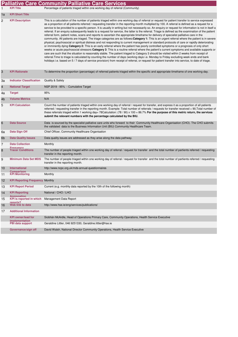|                |                                                | <b>Palliative Care Community Palliative Care Services</b>                                                                                                                                                                                                                                                                                                                                                                                                                                                                                                                                                                                                                                                                                                                                                                                                                                                                                                                                                                                                                                                                                                                                                                                                                                                                                                                                                                                                                                                                                                                                                                                                                                                                                                                                                   |
|----------------|------------------------------------------------|-------------------------------------------------------------------------------------------------------------------------------------------------------------------------------------------------------------------------------------------------------------------------------------------------------------------------------------------------------------------------------------------------------------------------------------------------------------------------------------------------------------------------------------------------------------------------------------------------------------------------------------------------------------------------------------------------------------------------------------------------------------------------------------------------------------------------------------------------------------------------------------------------------------------------------------------------------------------------------------------------------------------------------------------------------------------------------------------------------------------------------------------------------------------------------------------------------------------------------------------------------------------------------------------------------------------------------------------------------------------------------------------------------------------------------------------------------------------------------------------------------------------------------------------------------------------------------------------------------------------------------------------------------------------------------------------------------------------------------------------------------------------------------------------------------------|
| 1              | <b>KPI Title</b>                               | Percentage of patients triaged within one working day of referral (Community)                                                                                                                                                                                                                                                                                                                                                                                                                                                                                                                                                                                                                                                                                                                                                                                                                                                                                                                                                                                                                                                                                                                                                                                                                                                                                                                                                                                                                                                                                                                                                                                                                                                                                                                               |
| 1a             | <b>KPI Short Title</b>                         |                                                                                                                                                                                                                                                                                                                                                                                                                                                                                                                                                                                                                                                                                                                                                                                                                                                                                                                                                                                                                                                                                                                                                                                                                                                                                                                                                                                                                                                                                                                                                                                                                                                                                                                                                                                                             |
| $\overline{c}$ | <b>KPI Description</b>                         | This is a calculation of the number of patients triaged within one working day of referral or request for patient transfer to service expressed<br>as a proportion of all patients referred / requesting transfer in the reporting month multiplied by 100. A referral is defined as a request for a<br>service to be provided to a specific person. It is usually in writing but not necessarily so. An enquiry or request for information is not in itself a<br>referral. If an enquiry subsequently leads to a request for service, the latter is the referral. Triage is defined as the examination of the patient<br>referral form, patient notes, scans and reports to ascertain the appropriate timeframe for delivery of specialist palliative care in the<br>community. All patients are triaged. The triage categories are as follows: Category 1: This is an urgent referral where the patient is in severe<br>physical, psychosocial or spiritual distress and not responding to current management or standard protocols of care or rapidly deteriorating<br>or imminently dying Category 2: This is an early referral where the patient has poorly controlled symptoms or a prognosis of only short<br>weeks or acute psychosocial stressors Category 3: This is a routine referral where the patient's current symptoms and available supports or<br>care are such that the situation is reasonably stable. The patient triaged to Category 3 should be visited within 2 weeks from receipt of<br>referral. Time to triage is calculated by counting the number of days (working days i.e. Monday to Friday excluding week ends and bank<br>holidays i.e. based on 5/7 days of service provision) from receipt of referral, or request for patient transfer into service, to date of triage. |
| 3              | <b>KPI Rationale</b>                           | To determine the proportion (percentage) of referred patients triaged within the specific and appropriate timeframe of one working day.                                                                                                                                                                                                                                                                                                                                                                                                                                                                                                                                                                                                                                                                                                                                                                                                                                                                                                                                                                                                                                                                                                                                                                                                                                                                                                                                                                                                                                                                                                                                                                                                                                                                     |
| За             | <b>Indicator Classification</b>                | Quality & Safety                                                                                                                                                                                                                                                                                                                                                                                                                                                                                                                                                                                                                                                                                                                                                                                                                                                                                                                                                                                                                                                                                                                                                                                                                                                                                                                                                                                                                                                                                                                                                                                                                                                                                                                                                                                            |
| $\overline{4}$ | <b>National Target</b>                         | NSP 2019 - 95% - Cumulative Target                                                                                                                                                                                                                                                                                                                                                                                                                                                                                                                                                                                                                                                                                                                                                                                                                                                                                                                                                                                                                                                                                                                                                                                                                                                                                                                                                                                                                                                                                                                                                                                                                                                                                                                                                                          |
| 4a             | <b>Target</b>                                  | 95%                                                                                                                                                                                                                                                                                                                                                                                                                                                                                                                                                                                                                                                                                                                                                                                                                                                                                                                                                                                                                                                                                                                                                                                                                                                                                                                                                                                                                                                                                                                                                                                                                                                                                                                                                                                                         |
| 4b             | <b>Volume Metrics</b>                          | N/A                                                                                                                                                                                                                                                                                                                                                                                                                                                                                                                                                                                                                                                                                                                                                                                                                                                                                                                                                                                                                                                                                                                                                                                                                                                                                                                                                                                                                                                                                                                                                                                                                                                                                                                                                                                                         |
| 5              | <b>KPI Calculation</b>                         | Count the number of patients triaged within one working day of referral / request for transfer, and express it as a proportion of all patients<br>referred / requesting transfer in the reporting month. Example: Total number of referrals / requests for transfer received = 90, Total number of<br>these referrals triaged within 1 working day= 78Calculation: (78 / 90) x 100 = 86.7% For the purpose of this metric return, the services<br>submit the relevant numbers with the percentage calculated by the BIU.                                                                                                                                                                                                                                                                                                                                                                                                                                                                                                                                                                                                                                                                                                                                                                                                                                                                                                                                                                                                                                                                                                                                                                                                                                                                                    |
| 6              | <b>Data Source</b>                             | Data is sourced by the specialist palliative care units who forward to their Community Healthcare Organisation (CHO). The CHO submits<br>the validated data to the Business Information Unit (BIU) Community Healthcare Team.                                                                                                                                                                                                                                                                                                                                                                                                                                                                                                                                                                                                                                                                                                                                                                                                                                                                                                                                                                                                                                                                                                                                                                                                                                                                                                                                                                                                                                                                                                                                                                               |
| 6а             | Data Sign Off                                  | Chief Officer, Community Healthcare Organisation                                                                                                                                                                                                                                                                                                                                                                                                                                                                                                                                                                                                                                                                                                                                                                                                                                                                                                                                                                                                                                                                                                                                                                                                                                                                                                                                                                                                                                                                                                                                                                                                                                                                                                                                                            |
| 6 <sub>b</sub> | <b>Data Quality Issues</b>                     | Data quality issues are addressed as they arise along the data pathway.                                                                                                                                                                                                                                                                                                                                                                                                                                                                                                                                                                                                                                                                                                                                                                                                                                                                                                                                                                                                                                                                                                                                                                                                                                                                                                                                                                                                                                                                                                                                                                                                                                                                                                                                     |
| 7              | <b>Data Collection</b><br><b>Frequency</b>     | Monthly                                                                                                                                                                                                                                                                                                                                                                                                                                                                                                                                                                                                                                                                                                                                                                                                                                                                                                                                                                                                                                                                                                                                                                                                                                                                                                                                                                                                                                                                                                                                                                                                                                                                                                                                                                                                     |
| 8              | <b>Tracer Conditions</b>                       | The number of people triaged within one working day of referral / request for transfer and the total number of partients referred / requesting<br>transfer in the reporting month.                                                                                                                                                                                                                                                                                                                                                                                                                                                                                                                                                                                                                                                                                                                                                                                                                                                                                                                                                                                                                                                                                                                                                                                                                                                                                                                                                                                                                                                                                                                                                                                                                          |
| 9              | <b>Minimum Data Set MDS</b>                    | The number of people triaged within one working day of referral / request for transfer and the total number of partients referred / requesting<br>transfer in the reporting month.                                                                                                                                                                                                                                                                                                                                                                                                                                                                                                                                                                                                                                                                                                                                                                                                                                                                                                                                                                                                                                                                                                                                                                                                                                                                                                                                                                                                                                                                                                                                                                                                                          |
| 10             | <b>International</b><br>Comparison             | http://www.ncpc.org.uk/mds-annual-questionnaires                                                                                                                                                                                                                                                                                                                                                                                                                                                                                                                                                                                                                                                                                                                                                                                                                                                                                                                                                                                                                                                                                                                                                                                                                                                                                                                                                                                                                                                                                                                                                                                                                                                                                                                                                            |
| 11             | <b>KPI Monitoring</b>                          | Monthly                                                                                                                                                                                                                                                                                                                                                                                                                                                                                                                                                                                                                                                                                                                                                                                                                                                                                                                                                                                                                                                                                                                                                                                                                                                                                                                                                                                                                                                                                                                                                                                                                                                                                                                                                                                                     |
| 12             | <b>KPI Reporting Frequency Monthly</b>         |                                                                                                                                                                                                                                                                                                                                                                                                                                                                                                                                                                                                                                                                                                                                                                                                                                                                                                                                                                                                                                                                                                                                                                                                                                                                                                                                                                                                                                                                                                                                                                                                                                                                                                                                                                                                             |
| 13             | <b>KPI Report Period</b>                       | Current (e.g. monthly data reported by the 10th of the following month)                                                                                                                                                                                                                                                                                                                                                                                                                                                                                                                                                                                                                                                                                                                                                                                                                                                                                                                                                                                                                                                                                                                                                                                                                                                                                                                                                                                                                                                                                                                                                                                                                                                                                                                                     |
| 14             | <b>KPI Reporting</b>                           | National / CHO / LHO                                                                                                                                                                                                                                                                                                                                                                                                                                                                                                                                                                                                                                                                                                                                                                                                                                                                                                                                                                                                                                                                                                                                                                                                                                                                                                                                                                                                                                                                                                                                                                                                                                                                                                                                                                                        |
| 15             | Aggregation<br><b>KPI</b> is reported in which | Management Data Report                                                                                                                                                                                                                                                                                                                                                                                                                                                                                                                                                                                                                                                                                                                                                                                                                                                                                                                                                                                                                                                                                                                                                                                                                                                                                                                                                                                                                                                                                                                                                                                                                                                                                                                                                                                      |
| 16             | renorts?<br>Web link to data                   | http://www.hse.ie/eng/services/publications/                                                                                                                                                                                                                                                                                                                                                                                                                                                                                                                                                                                                                                                                                                                                                                                                                                                                                                                                                                                                                                                                                                                                                                                                                                                                                                                                                                                                                                                                                                                                                                                                                                                                                                                                                                |
| 17             | <b>Additional Information</b>                  |                                                                                                                                                                                                                                                                                                                                                                                                                                                                                                                                                                                                                                                                                                                                                                                                                                                                                                                                                                                                                                                                                                                                                                                                                                                                                                                                                                                                                                                                                                                                                                                                                                                                                                                                                                                                             |
|                | <b>KPI</b> owner/lead for                      | Siobhán McArdle, Head of Operations Primary Care, Community Operations, Health Service Executive                                                                                                                                                                                                                                                                                                                                                                                                                                                                                                                                                                                                                                                                                                                                                                                                                                                                                                                                                                                                                                                                                                                                                                                                                                                                                                                                                                                                                                                                                                                                                                                                                                                                                                            |
|                | imnlementation<br><b>PBI data support</b>      | Geraldine Littler, 046 9251330, Geraldine.littler@hse.ie                                                                                                                                                                                                                                                                                                                                                                                                                                                                                                                                                                                                                                                                                                                                                                                                                                                                                                                                                                                                                                                                                                                                                                                                                                                                                                                                                                                                                                                                                                                                                                                                                                                                                                                                                    |
|                | Governance/sign off                            | David Walsh, National Director Community Operations, Health Service Executive                                                                                                                                                                                                                                                                                                                                                                                                                                                                                                                                                                                                                                                                                                                                                                                                                                                                                                                                                                                                                                                                                                                                                                                                                                                                                                                                                                                                                                                                                                                                                                                                                                                                                                                               |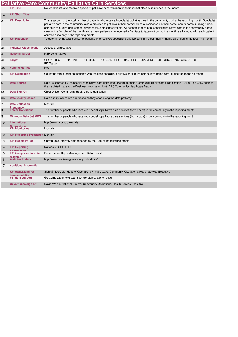|    |                                             | <b>Palliative Care Community Palliative Care Services</b>                                                                                                                                                                                                                                                                                                                                                                                                                                                                                                                                                                                         |
|----|---------------------------------------------|---------------------------------------------------------------------------------------------------------------------------------------------------------------------------------------------------------------------------------------------------------------------------------------------------------------------------------------------------------------------------------------------------------------------------------------------------------------------------------------------------------------------------------------------------------------------------------------------------------------------------------------------------|
| 1  | <b>KPI Title</b>                            | No. of patients who received specialist palliative care treatment in their normal place of residence in the month                                                                                                                                                                                                                                                                                                                                                                                                                                                                                                                                 |
| 1a | <b>KPI Short Title</b>                      |                                                                                                                                                                                                                                                                                                                                                                                                                                                                                                                                                                                                                                                   |
| 2  | <b>KPI Description</b>                      | This is a count of the total number of patients who received specialist palliative care in the community during the reporting month. Specialist<br>palliative care in the community is care provided to patients in their normal place of residence i.e. their home, carers home, nursing home,<br>community nursing unit, community hospital, district hospital etc. All patients in receipt of specialist palliative care in the community home<br>care on the first day of the month and all new patients who received a first face to face visit during the month are included with each patient<br>counted once only in the reporting month. |
| 3  | <b>KPI Rationale</b>                        | To determine the total number of patients who received specialist palliative care in the community (home care) during the reporting month.                                                                                                                                                                                                                                                                                                                                                                                                                                                                                                        |
| За | <b>Indicator Classification</b>             | Access and Integration                                                                                                                                                                                                                                                                                                                                                                                                                                                                                                                                                                                                                            |
| 4  | <b>National Target</b>                      | NSP 2019 - 3,405                                                                                                                                                                                                                                                                                                                                                                                                                                                                                                                                                                                                                                  |
| 4a | <b>Target</b>                               | CHO 1 - 375, CHO 2 - 418, CHO 3 - 354, CHO 4 - 591, CHO 5 - 422, CHO 6 - 264, CHO 7 - 238, CHO 8 - 437, CHO 9 - 306<br><b>PIT Target</b>                                                                                                                                                                                                                                                                                                                                                                                                                                                                                                          |
| 4b | <b>Volume Metrics</b>                       | N/A                                                                                                                                                                                                                                                                                                                                                                                                                                                                                                                                                                                                                                               |
| 5  | <b>KPI Calculation</b>                      | Count the total number of patients who received specialist palliative care in the community (home care) during the reporting month.                                                                                                                                                                                                                                                                                                                                                                                                                                                                                                               |
| 6  | <b>Data Source</b>                          | Data is sourced by the specialist palliative care units who forward to their Community Healthcare Organisation (CHO). The CHO submits<br>the validated data to the Business Information Unit (BIU) Community Healthcare Team.                                                                                                                                                                                                                                                                                                                                                                                                                     |
| 6a | Data Sign Off                               | Chief Officer, Community Healthcare Organisation                                                                                                                                                                                                                                                                                                                                                                                                                                                                                                                                                                                                  |
| 6b | <b>Data Quality Issues</b>                  | Data quality issues are addressed as they arise along the data pathway.                                                                                                                                                                                                                                                                                                                                                                                                                                                                                                                                                                           |
| 7  | <b>Data Collection</b>                      | Monthly                                                                                                                                                                                                                                                                                                                                                                                                                                                                                                                                                                                                                                           |
| 8  | Frequency<br><b>Tracer Conditions</b>       | The number of people who received specialist palliative care services (home care) in the community in the reporting month.                                                                                                                                                                                                                                                                                                                                                                                                                                                                                                                        |
| 9  | <b>Minimum Data Set MDS</b>                 | The number of people who received specialist palliative care services (home care) in the community in the reporting month.                                                                                                                                                                                                                                                                                                                                                                                                                                                                                                                        |
| 10 | <b>International</b>                        | http://www.ncpc.org.uk/mds                                                                                                                                                                                                                                                                                                                                                                                                                                                                                                                                                                                                                        |
| 11 | Comnarison<br><b>KPI Monitoring</b>         | Monthly                                                                                                                                                                                                                                                                                                                                                                                                                                                                                                                                                                                                                                           |
| 12 | <b>KPI Reporting Frequency Monthly</b>      |                                                                                                                                                                                                                                                                                                                                                                                                                                                                                                                                                                                                                                                   |
| 13 | <b>KPI Report Period</b>                    | Current (e.g. monthly data reported by the 10th of the following month)                                                                                                                                                                                                                                                                                                                                                                                                                                                                                                                                                                           |
| 14 | <b>KPI Reporting</b><br>Aggregation         | National / CHO / LHO                                                                                                                                                                                                                                                                                                                                                                                                                                                                                                                                                                                                                              |
| 15 | <b>KPI</b> is reported in which<br>reports? | Performance Report/Management Data Report                                                                                                                                                                                                                                                                                                                                                                                                                                                                                                                                                                                                         |
| 16 | Web link to data                            | http://www.hse.ie/eng/services/publications/                                                                                                                                                                                                                                                                                                                                                                                                                                                                                                                                                                                                      |
| 17 | <b>Additional Information</b>               |                                                                                                                                                                                                                                                                                                                                                                                                                                                                                                                                                                                                                                                   |
|    | <b>KPI owner/lead for</b>                   | Siobhán McArdle, Head of Operations Primary Care, Community Operations, Health Service Executive                                                                                                                                                                                                                                                                                                                                                                                                                                                                                                                                                  |
|    | implementation<br>PBI data support          | Geraldine Littler, 046 9251330, Geraldine.littler@hse.ie                                                                                                                                                                                                                                                                                                                                                                                                                                                                                                                                                                                          |
|    | Governance/sign off                         | David Walsh, National Director Community Operations, Health Service Executive                                                                                                                                                                                                                                                                                                                                                                                                                                                                                                                                                                     |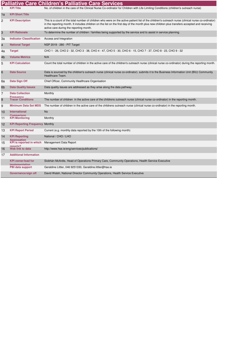|    |                                             | <b>Palliative Care Children's Palliative Care Services</b>                                                                                                                                                                                                                                                                                      |
|----|---------------------------------------------|-------------------------------------------------------------------------------------------------------------------------------------------------------------------------------------------------------------------------------------------------------------------------------------------------------------------------------------------------|
| 1  | <b>KPI Title</b>                            | No. of children in the care of the Clinical Nurse Co-ordinator for Children with Life Limiting Conditions (children's outreach nurse)                                                                                                                                                                                                           |
| 1a | <b>KPI Short Title</b>                      |                                                                                                                                                                                                                                                                                                                                                 |
| 2  | <b>KPI Description</b>                      | This is a count of the total number of children who were on the active patient list of the children's outreach nurse (clinical nurse co-ordinator)<br>in the reporting month. It includes children on the list on the first day of the month plus new children plus transfers accepted and receiving<br>active care during the reporting month. |
| 3  | <b>KPI Rationale</b>                        | To determine the number of children / families being supported by the service and to assist in service planning.                                                                                                                                                                                                                                |
| За | <b>Indicator Classification</b>             | Access and Integration                                                                                                                                                                                                                                                                                                                          |
| 4  | <b>National Target</b>                      | NSP 2019 - 280 - PIT Target                                                                                                                                                                                                                                                                                                                     |
| 4a | <b>Target</b>                               | CHO 1 - 26, CHO 2 - 32, CHO 3 - 38, CHO 4 - 47, CHO 5 - 30, CHO 6 - 15, CHO 7 - 37, CHO 8 - 23, CHO 9 - 32                                                                                                                                                                                                                                      |
| 4b | <b>Volume Metrics</b>                       | N/A                                                                                                                                                                                                                                                                                                                                             |
| 5  | <b>KPI Calculation</b>                      | Count the total number of children in the active care of the children's outreach nurse (clinical nurse co-ordinator) during the reporting month.                                                                                                                                                                                                |
| 6  | <b>Data Source</b>                          | Data is sourced by the children's outreach nurse (clinical nurse co-ordinator). submits it to the Business Information Unit (BIU) Community<br>Healthcare Team.                                                                                                                                                                                 |
| 6a | Data Sign Off                               | Chief Officer, Community Healthcare Organisation                                                                                                                                                                                                                                                                                                |
| 6b | <b>Data Quality Issues</b>                  | Data quality issues are addressed as they arise along the data pathway.                                                                                                                                                                                                                                                                         |
| 7  | <b>Data Collection</b><br>Frequency         | Monthly                                                                                                                                                                                                                                                                                                                                         |
| 8  | <b>Tracer Conditions</b>                    | The number of children in the active care of the childrens outreach nurse (clinical nurse co-ordinator) in the reporting month.                                                                                                                                                                                                                 |
| 9  | <b>Minimum Data Set MDS</b>                 | The number of children in the active care of the childrens outreach nurse (clinical nurse co-ordinator) in the reporting month.                                                                                                                                                                                                                 |
| 10 | <b>International</b><br>Comparison          | <b>No</b>                                                                                                                                                                                                                                                                                                                                       |
| 11 | <b>KPI Monitoring</b>                       | Monthly                                                                                                                                                                                                                                                                                                                                         |
| 12 | <b>KPI Reporting Frequency Monthly</b>      |                                                                                                                                                                                                                                                                                                                                                 |
| 13 | <b>KPI Report Period</b>                    | Current (e.g. monthly data reported by the 10th of the following month)                                                                                                                                                                                                                                                                         |
| 14 | <b>KPI Reporting</b><br>Aggregation         | National / CHO / LHO                                                                                                                                                                                                                                                                                                                            |
| 15 | <b>KPI</b> is reported in which<br>renorts? | Management Data Report                                                                                                                                                                                                                                                                                                                          |
| 16 | Web link to data                            | http://www.hse.ie/eng/services/publications/                                                                                                                                                                                                                                                                                                    |
| 17 | <b>Additional Information</b>               |                                                                                                                                                                                                                                                                                                                                                 |
|    | <b>KPI owner/lead for</b><br>implementation | Siobhán McArdle, Head of Operations Primary Care, Community Operations, Health Service Executive                                                                                                                                                                                                                                                |
|    | PBI data support                            | Geraldine Littler, 046 9251330, Geraldine.littler@hse.ie                                                                                                                                                                                                                                                                                        |
|    | Governance/sign off                         | David Walsh, National Director Community Operations, Health Service Executive                                                                                                                                                                                                                                                                   |